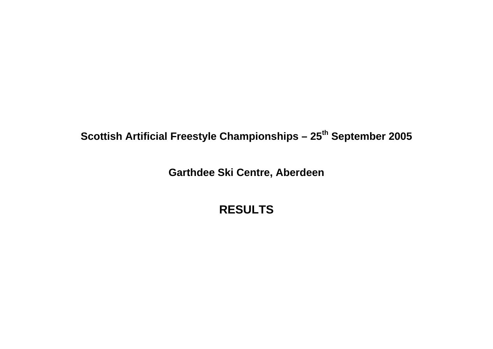# **Scottish Artificial Freestyle Championships – 25th September 2005**

# **Garthdee Ski Centre, Aberdeen**

# **RESULTS**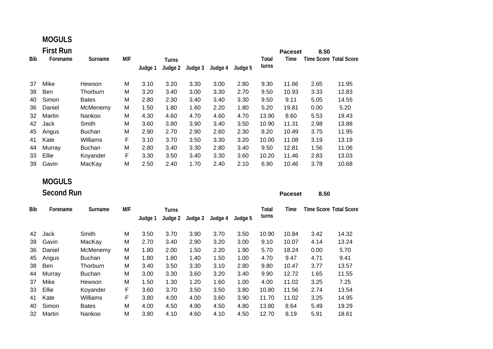#### **MOGULS**

|     | <b>First Run</b> |                 |     |         |         |         |         |         |       | <b>Paceset</b> | 8.50 |                               |
|-----|------------------|-----------------|-----|---------|---------|---------|---------|---------|-------|----------------|------|-------------------------------|
| Bib | Forename         | Surname         | M/F |         | Turns   |         |         |         | Total | Time           |      | <b>Time Score Total Score</b> |
|     |                  |                 |     | Judge 1 | Judge 2 | Judge 3 | Judge 4 | Judge 5 | turns |                |      |                               |
| 37  | Mike             | Hewson          | м   | 3.10    | 3.20    | 3.30    | 3.00    | 2.80    | 9.30  | 11.66          | 2.65 | 11.95                         |
| 38  | <b>Ben</b>       | <b>Thorburn</b> | M   | 3.20    | 3.40    | 3.00    | 3.30    | 2.70    | 9.50  | 10.93          | 3.33 | 12.83                         |
| 40  | Simon            | <b>Bates</b>    | M   | 2.80    | 2.30    | 3.40    | 3.40    | 3.30    | 9.50  | 9.11           | 5.05 | 14.55                         |
| 36  | Daniel           | McMenemy        | M   | 1.50    | 1.80    | 1.60    | 2.20    | 1.80    | 5.20  | 19.81          | 0.00 | 5.20                          |
| 32  | Martin           | Nankoo          | M   | 4.30    | 4.60    | 4.70    | 4.60    | 4.70    | 13.90 | 8.60           | 5.53 | 19.43                         |
| 42  | Jack             | Smith           | M   | 3.60    | 3.80    | 3.90    | 3.40    | 3.50    | 10.90 | 11.31          | 2.98 | 13.88                         |
| 45  | Angus            | <b>Buchan</b>   | M   | 2.90    | 2.70    | 2.90    | 2.60    | 2.30    | 8.20  | 10.49          | 3.75 | 11.95                         |
| 41  | Kate             | Williams        | F   | 3.10    | 3.70    | 3.50    | 3.30    | 3.20    | 10.00 | 11.08          | 3.19 | 13.19                         |
| 44  | Murray           | <b>Buchan</b>   | M   | 2.80    | 3.40    | 3.30    | 2.80    | 3.40    | 9.50  | 12.81          | 1.56 | 11.06                         |
| 33  | Ellie            | Koyander        | F   | 3.30    | 3.50    | 3.40    | 3.30    | 3.60    | 10.20 | 11.46          | 2.83 | 13.03                         |
| 39  | Gavin            | MacKay          | M   | 2.50    | 2.40    | 1.70    | 2.40    | 2.10    | 6.90  | 10.46          | 3.78 | 10.68                         |

#### **MOGULS**

|     | <b>Second Run</b> |               |     |         |                         |         |         |         |                | <b>Paceset</b> | 8.50 |                        |
|-----|-------------------|---------------|-----|---------|-------------------------|---------|---------|---------|----------------|----------------|------|------------------------|
| Bib | Forename          | Surname       | M/F | Judge 1 | <b>Turns</b><br>Judge 2 | Judge 3 | Judge 4 | Judge 5 | Total<br>turns | Time           |      | Time Score Total Score |
| 42  | Jack              | Smith         | M   | 3.50    | 3.70                    | 3.90    | 3.70    | 3.50    | 10.90          | 10.84          | 3.42 | 14.32                  |
| 39  | Gavin             | MacKay        | M   | 2.70    | 3.40                    | 2.90    | 3.20    | 3.00    | 9.10           | 10.07          | 4.14 | 13.24                  |
| 36  | Daniel            | McMenemy      | M   | 1.80    | 2.00                    | 1.50    | 2.20    | 1.90    | 5.70           | 18.24          | 0.00 | 5.70                   |
| 45  | Angus             | <b>Buchan</b> | M   | 1.80    | 1.80                    | 1.40    | 1.50    | 1.00    | 4.70           | 9.47           | 4.71 | 9.41                   |
| 38  | Ben               | Thorburn      | M   | 3.40    | 3.50                    | 3.30    | 3.10    | 2.80    | 9.80           | 10.47          | 3.77 | 13.57                  |
| 44  | Murray            | <b>Buchan</b> | M   | 3.00    | 3.30                    | 3.60    | 3.20    | 3.40    | 9.90           | 12.72          | 1.65 | 11.55                  |
| 37  | Mike              | <b>Hewson</b> | M   | 1.50    | 1.30                    | 1.20    | 1.60    | 1.00    | 4.00           | 11.02          | 3.25 | 7.25                   |
| 33  | Ellie             | Koyander      | F   | 3.60    | 3.70                    | 3.50    | 3.50    | 3.80    | 10.80          | 11.56          | 2.74 | 13.54                  |
| 41  | Kate              | Williams      | F   | 3.80    | 4.00                    | 4.00    | 3.60    | 3.90    | 11.70          | 11.02          | 3.25 | 14.95                  |
| 40  | Simon             | <b>Bates</b>  | M   | 4.00    | 4.50                    | 4.90    | 4.50    | 4.80    | 13.80          | 8.64           | 5.49 | 19.29                  |
| 32. | Martin            | Nankool       | м   | 3.80    | 4 1 0                   | 4.60    | 4 1 0   | 4.50    | 1270           | 8.19           | 591  | 1861                   |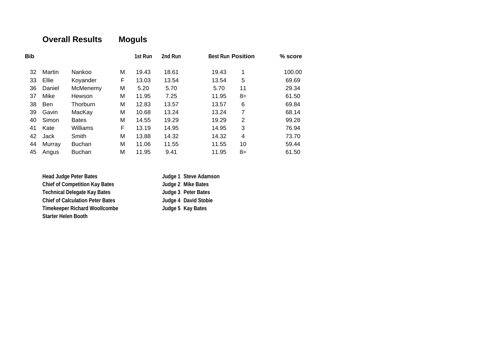## **Overall Results Moguls**

| Bib |            |               |   | 1st Run | 2nd Run | <b>Best Run Position</b> |      | % score |
|-----|------------|---------------|---|---------|---------|--------------------------|------|---------|
| 32  | Martin     | Nankoo        | M | 19.43   | 18.61   | 19.43                    | 1    | 100.00  |
| 33  | Ellie      | Koyander      | F | 13.03   | 13.54   | 13.54                    | 5    | 69.69   |
| 36  | Daniel     | McMenemy      | M | 5.20    | 5.70    | 5.70                     | 11   | 29.34   |
| 37  | Mike       | Hewson        | М | 11.95   | 7.25    | 11.95                    | $8=$ | 61.50   |
| 38  | <b>Ben</b> | Thorburn      | M | 12.83   | 13.57   | 13.57                    | 6    | 69.84   |
| 39  | Gavin      | MacKay        | M | 10.68   | 13.24   | 13.24                    | 7    | 68.14   |
| 40  | Simon      | <b>Bates</b>  | M | 14.55   | 19.29   | 19.29                    | 2    | 99.28   |
| 41  | Kate       | Williams      | F | 13.19   | 14.95   | 14.95                    | 3    | 76.94   |
| 42  | Jack       | Smith         | M | 13.88   | 14.32   | 14.32                    | 4    | 73.70   |
| 44  | Murray     | <b>Buchan</b> | М | 11.06   | 11.55   | 11.55                    | 10   | 59.44   |
| 45  | Angus      | <b>Buchan</b> | м | 11.95   | 9.41    | 11.95                    | $8=$ | 61.50   |

| <b>Head Judge Peter Bates</b>           |
|-----------------------------------------|
| <b>Chief of Competition Kay Bates</b>   |
| <b>Technical Delegate Kay Bates</b>     |
| <b>Chief of Calculation Peter Bates</b> |
| <b>Timekeeper Richard Woollcombe</b>    |
| <b>Starter Helen Booth</b>              |

**Judge 1 Steve Adamson Competitivity** Chief Bates **Judge 3 Peter Bates Judge 4 David Stobie Judge 5 Kay Bates**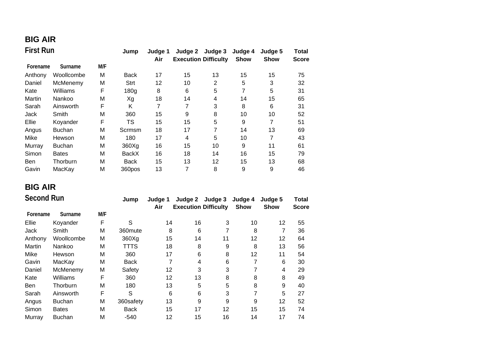### **BIG AIR**

| <b>First Run</b> |     | Jump              | Judge 1<br>Air | Judge 2 | Judge 3 | Judge 4<br><b>Show</b>      | Judge 5<br><b>Show</b> | Total<br><b>Score</b> |
|------------------|-----|-------------------|----------------|---------|---------|-----------------------------|------------------------|-----------------------|
| Surname          | M/F |                   |                |         |         |                             |                        |                       |
| Woollcombe       | M   | <b>Back</b>       | 17             | 15      | 13      | 15                          | 15                     | 75                    |
| McMenemy         | M   | Strt              | 12             | 10      | 2       | 5                           | 3                      | 32                    |
| Williams         | F   | 180 <sub>q</sub>  | 8              | 6       | 5       |                             | 5                      | 31                    |
| Nankoo           | M   | Xg                | 18             | 14      | 4       | 14                          | 15                     | 65                    |
| Ainsworth        | F   | K                 | 7              | 7       | 3       | 8                           | 6                      | 31                    |
| Smith            | M   | 360               | 15             | 9       | 8       | 10                          | 10                     | 52                    |
| Koyander         | F   | <b>TS</b>         | 15             | 15      | 5       | 9                           | 7                      | 51                    |
| <b>Buchan</b>    | M   | Scrmsm            | 18             | 17      | 7       | 14                          | 13                     | 69                    |
| Hewson           | M   | 180               | 17             | 4       | 5       | 10                          | 7                      | 43                    |
| <b>Buchan</b>    | M   | 360X <sub>g</sub> | 16             | 15      | 10      | 9                           | 11                     | 61                    |
| <b>Bates</b>     | M   | BackX             | 16             | 18      | 14      | 16                          | 15                     | 79                    |
| Thorburn         | M   | Back              | 15             | 13      | 12      | 15                          | 13                     | 68                    |
| MacKay           | M   | 360pos            | 13             | 7       | 8       | 9                           | 9                      | 46                    |
|                  |     |                   |                |         |         | <b>Execution Difficulty</b> |                        |                       |

#### **BIG AIR**

| <b>Second Run</b>          |               |   | Jump        | Judge 1<br>Air | Judge 2<br><b>Execution Difficulty</b> | Judge 3 | Judge 4<br><b>Show</b> | Judge 5<br><b>Show</b> | <b>Total</b><br><b>Score</b> |
|----------------------------|---------------|---|-------------|----------------|----------------------------------------|---------|------------------------|------------------------|------------------------------|
| M/F<br>Surname<br>Forename |               |   |             |                |                                        |         |                        |                        |                              |
| Ellie                      | Koyander      | F | S           | 14             | 16                                     | 3       | 10                     | 12                     | 55                           |
| Jack                       | Smith         | M | 360mute     | 8              | 6                                      |         | 8                      | 7                      | 36                           |
| Anthony                    | Woollcombe    | M | 360Xq       | 15             | 14                                     | 11      | 12                     | 12                     | 64                           |
| Martin                     | Nankoo        | M | <b>TTTS</b> | 18             | 8                                      | 9       | 8                      | 13                     | 56                           |
| Mike                       | Hewson        | M | 360         | 17             | 6                                      | 8       | 12                     | 11                     | 54                           |
| Gavin                      | MacKay        | M | <b>Back</b> | 7              | 4                                      | 6       | 7                      | 6                      | 30                           |
| Daniel                     | McMenemy      | M | Safety      | 12             | 3                                      | 3       | 7                      | 4                      | 29                           |
| Kate                       | Williams      | F | 360         | 12             | 13                                     | 8       | 8                      | 8                      | 49                           |
| Ben                        | Thorburn      | M | 180         | 13             | 5                                      | 5       | 8                      | 9                      | 40                           |
| Sarah                      | Ainsworth     | F | S           | 6              | 6                                      | 3       | 7                      | 5                      | 27                           |
| Angus                      | <b>Buchan</b> | M | 360safety   | 13             | 9                                      | 9       | 9                      | 12                     | 52                           |
| Simon                      | <b>Bates</b>  | M | <b>Back</b> | 15             | 17                                     | 12      | 15                     | 15                     | 74                           |
| Murray                     | Buchan        | M | $-540$      | 12             | 15                                     | 16      | 14                     | 17                     | 74                           |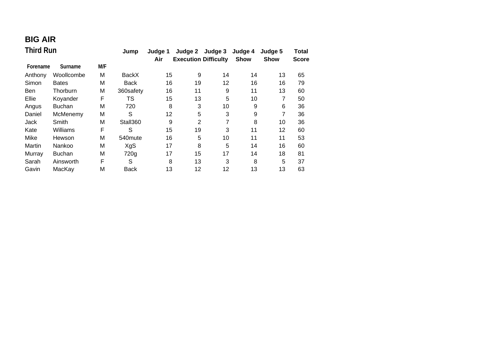### **BIG AIR**

| Third Run  |               |     | Jump         | Judge 1<br>Air | Judge 2<br><b>Execution Difficulty</b> | Judge 3 | Judge 4<br><b>Show</b> | Judge 5<br><b>Show</b> | <b>Total</b><br><b>Score</b> |
|------------|---------------|-----|--------------|----------------|----------------------------------------|---------|------------------------|------------------------|------------------------------|
| Forename   | Surname       | M/F |              |                |                                        |         |                        |                        |                              |
| Anthony    | Woollcombe    | M   | <b>BackX</b> | 15             | 9                                      | 14      | 14                     | 13                     | 65                           |
| Simon      | <b>Bates</b>  | M   | <b>Back</b>  | 16             | 19                                     | 12      | 16                     | 16                     | 79                           |
| <b>Ben</b> | Thorburn      | M   | 360safety    | 16             | 11                                     | 9       | 11                     | 13                     | 60                           |
| Ellie      | Koyander      | F   | TS           | 15             | 13                                     | 5       | 10                     | 7                      | 50                           |
| Angus      | <b>Buchan</b> | M   | 720          | 8              | 3                                      | 10      | 9                      | 6                      | 36                           |
| Daniel     | McMenemy      | M   | S            | 12             | 5                                      | 3       | 9                      | 7                      | 36                           |
| Jack       | Smith         | M   | Stall360     | 9              | $\overline{2}$                         | 7       | 8                      | 10                     | 36                           |
| Kate       | Williams      | F   | S            | 15             | 19                                     | 3       | 11                     | 12                     | 60                           |
| Mike       | Hewson        | M   | 540mute      | 16             | 5                                      | 10      | 11                     | 11                     | 53                           |
| Martin     | Nankoo        | Μ   | XgS          | 17             | 8                                      | 5       | 14                     | 16                     | 60                           |
| Murray     | <b>Buchan</b> | M   | 720g         | 17             | 15                                     | 17      | 14                     | 18                     | 81                           |
| Sarah      | Ainsworth     | F   | S            | 8              | 13                                     | 3       | 8                      | 5                      | 37                           |
| Gavin      | MacKay        | M   | <b>Back</b>  | 13             | 12                                     | 12      | 13                     | 13                     | 63                           |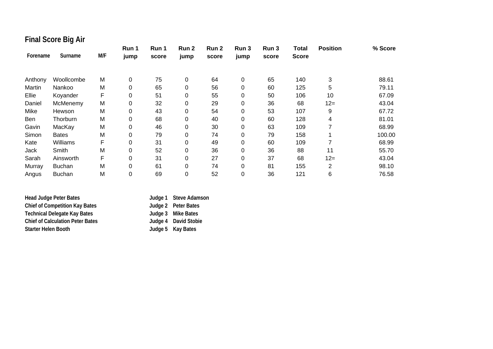## **Final Score Big Air**

| Forename | Surname         | M/F | Run 1<br>jump | Run 1<br>score | Run 2<br>jump | Run 2<br>score | Run 3<br>jump | Run 3<br>score | Total<br><b>Score</b> | <b>Position</b> | % Score |
|----------|-----------------|-----|---------------|----------------|---------------|----------------|---------------|----------------|-----------------------|-----------------|---------|
|          |                 |     |               |                |               |                |               |                |                       |                 |         |
| Anthony  | Woollcombe      | M   | $\pmb{0}$     | 75             | 0             | 64             | 0             | 65             | 140                   | 3               | 88.61   |
| Martin   | Nankoo          | M   | 0             | 65             | 0             | 56             | 0             | 60             | 125                   | 5               | 79.11   |
| Ellie    | Koyander        | F   | 0             | 51             | 0             | 55             | 0             | 50             | 106                   | 10              | 67.09   |
| Daniel   | McMenemy        | M   | 0             | 32             | 0             | 29             | 0             | 36             | 68                    | $12 =$          | 43.04   |
| Mike     | Hewson          | M   | 0             | 43             | 0             | 54             | 0             | 53             | 107                   | 9               | 67.72   |
| Ben      | Thorburn        | M   | 0             | 68             | 0             | 40             | 0             | 60             | 128                   | 4               | 81.01   |
| Gavin    | MacKay          | M   | 0             | 46             | 0             | 30             | 0             | 63             | 109                   |                 | 68.99   |
| Simon    | <b>Bates</b>    | M   | 0             | 79             | 0             | 74             | 0             | 79             | 158                   |                 | 100.00  |
| Kate     | <b>Williams</b> | F   | 0             | 31             | 0             | 49             | 0             | 60             | 109                   | 7               | 68.99   |
| Jack     | Smith           | M   | 0             | 52             | 0             | 36             | 0             | 36             | 88                    | 11              | 55.70   |
| Sarah    | Ainsworth       | F   | 0             | 31             | 0             | 27             | 0             | 37             | 68                    | $12 =$          | 43.04   |
| Murray   | <b>Buchan</b>   | M   | 0             | 61             | 0             | 74             | 0             | 81             | 155                   | $\overline{2}$  | 98.10   |
| Angus    | <b>Buchan</b>   | M   | 0             | 69             | 0             | 52             | 0             | 36             | 121                   | 6               | 76.58   |

| <b>Head Judge Peter Bates</b>           | Judge 1 Steve Adamson |
|-----------------------------------------|-----------------------|
| <b>Chief of Competition Kay Bates</b>   | Judge 2 Peter Bates   |
| <b>Technical Delegate Kay Bates</b>     | Judge 3 Mike Bates    |
| <b>Chief of Calculation Peter Bates</b> | Judge 4 David Stobie  |
| <b>Starter Helen Booth</b>              | Judge 5 Kay Bates     |
|                                         |                       |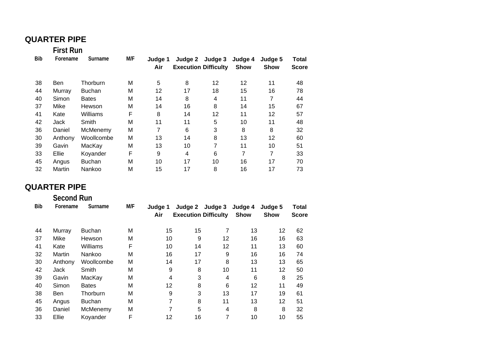#### **QUARTER PIPE**

|     | <b>First Run</b> |                 |     |                |         |                                        |                        |                        |                       |
|-----|------------------|-----------------|-----|----------------|---------|----------------------------------------|------------------------|------------------------|-----------------------|
| Bib | Forename         | Surname         | M/F | Judge 1<br>Air | Judge 2 | Judge 3<br><b>Execution Difficulty</b> | Judge 4<br><b>Show</b> | Judge 5<br><b>Show</b> | Total<br><b>Score</b> |
| 38  | <b>Ben</b>       | Thorburn        | М   | 5              | 8       | 12                                     | 12                     | 11                     | 48                    |
| 44  | Murray           | <b>Buchan</b>   | М   | 12             | 17      | 18                                     | 15                     | 16                     | 78                    |
| 40  | Simon            | <b>Bates</b>    | M   | 14             | 8       | 4                                      | 11                     | 7                      | 44                    |
| 37  | Mike             | Hewson          | M   | 14             | 16      | 8                                      | 14                     | 15                     | 67                    |
| 41  | Kate             | <b>Williams</b> | F   | 8              | 14      | 12                                     | 11                     | 12                     | 57                    |
| 42  | Jack             | Smith           | M   | 11             | 11      | 5                                      | 10                     | 11                     | 48                    |
| 36  | Daniel           | McMenemy        | M   | 7              | 6       | 3                                      | 8                      | 8                      | 32                    |
| 30  | Anthony          | Woollcombe      | М   | 13             | 14      | 8                                      | 13                     | 12                     | 60                    |
| 39  | Gavin            | MacKay          | M   | 13             | 10      | 7                                      | 11                     | 10                     | 51                    |
| 33  | Ellie            | Koyander        | F   | 9              | 4       | 6                                      | 7                      | 7                      | 33                    |
| 45  | Angus            | <b>Buchan</b>   | М   | 10             | 17      | 10                                     | 16                     | 17                     | 70                    |
| 32  | Martin           | Nankoo          | M   | 15             | 17      | 8                                      | 16                     | 17                     | 73                    |

#### **QUARTER PIPE**

|            | <b>Second Run</b> |               |     |                |                                        |         |                        |                        |                       |
|------------|-------------------|---------------|-----|----------------|----------------------------------------|---------|------------------------|------------------------|-----------------------|
| <b>Bib</b> | Forename          | Surname       | M/F | Judge 1<br>Air | Judge 2<br><b>Execution Difficulty</b> | Judge 3 | Judge 4<br><b>Show</b> | Judge 5<br><b>Show</b> | Total<br><b>Score</b> |
| 44         | Murray            | <b>Buchan</b> | М   | 15             | 15                                     | 7       | 13                     | 12                     | 62                    |
| 37         | Mike              | Hewson        | M   | 10             | 9                                      | 12      | 16                     | 16                     | 63                    |
| 41         | Kate              | Williams      | F   | 10             | 14                                     | 12      | 11                     | 13                     | 60                    |
| 32         | Martin            | Nankoo        | M   | 16             | 17                                     | 9       | 16                     | 16                     | 74                    |
| 30         | Anthony           | Woollcombe    | M   | 14             | 17                                     | 8       | 13                     | 13                     | 65                    |
| 42         | <b>Jack</b>       | Smith         | M   | 9              | 8                                      | 10      | 11                     | 12                     | 50                    |
| 39         | Gavin             | MacKay        | M   | 4              | 3                                      | 4       | 6                      | 8                      | 25                    |
| 40         | Simon             | <b>Bates</b>  | M   | 12             | 8                                      | 6       | 12                     | 11                     | 49                    |
| 38         | Ben               | Thorburn      | M   | 9              | 3                                      | 13      | 17                     | 19                     | 61                    |
| 45         | Angus             | <b>Buchan</b> | M   | 7              | 8                                      | 11      | 13                     | 12                     | 51                    |
| 36         | Daniel            | McMenemy      | M   | 7              | 5                                      | 4       | 8                      | 8                      | 32                    |
| 33         | Ellie             | Koyander      | F   | 12             | 16                                     | 7       | 10                     | 10                     | 55                    |